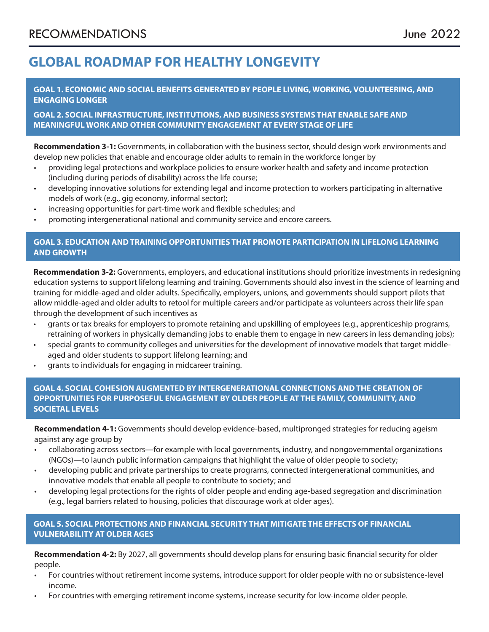# **GLOBAL ROADMAP FOR HEALTHY LONGEVITY**

**GOAL 1. ECONOMIC AND SOCIAL BENEFITS GENERATED BY PEOPLE LIVING, WORKING, VOLUNTEERING, AND ENGAGING LONGER** 

**GOAL 2. SOCIAL INFRASTRUCTURE, INSTITUTIONS, AND BUSINESS SYSTEMS THAT ENABLE SAFE AND MEANINGFUL WORK AND OTHER COMMUNITY ENGAGEMENT AT EVERY STAGE OF LIFE**

**Recommendation 3-1:** Governments, in collaboration with the business sector, should design work environments and develop new policies that enable and encourage older adults to remain in the workforce longer by

- providing legal protections and workplace policies to ensure worker health and safety and income protection (including during periods of disability) across the life course;
- developing innovative solutions for extending legal and income protection to workers participating in alternative models of work (e.g., gig economy, informal sector);
- increasing opportunities for part-time work and flexible schedules; and
- promoting intergenerational national and community service and encore careers.

## **GOAL 3. EDUCATION AND TRAINING OPPORTUNITIES THAT PROMOTE PARTICIPATION IN LIFELONG LEARNING AND GROWTH**

**Recommendation 3-2:** Governments, employers, and educational institutions should prioritize investments in redesigning education systems to support lifelong learning and training. Governments should also invest in the science of learning and training for middle-aged and older adults. Specifically, employers, unions, and governments should support pilots that allow middle-aged and older adults to retool for multiple careers and/or participate as volunteers across their life span through the development of such incentives as

- grants or tax breaks for employers to promote retaining and upskilling of employees (e.g., apprenticeship programs, retraining of workers in physically demanding jobs to enable them to engage in new careers in less demanding jobs);
- special grants to community colleges and universities for the development of innovative models that target middleaged and older students to support lifelong learning; and
- grants to individuals for engaging in midcareer training.

**GOAL 4. SOCIAL COHESION AUGMENTED BY INTERGENERATIONAL CONNECTIONS AND THE CREATION OF OPPORTUNITIES FOR PURPOSEFUL ENGAGEMENT BY OLDER PEOPLE AT THE FAMILY, COMMUNITY, AND SOCIETAL LEVELS**

**Recommendation 4-1:** Governments should develop evidence-based, multipronged strategies for reducing ageism against any age group by

- collaborating across sectors—for example with local governments, industry, and nongovernmental organizations (NGOs)—to launch public information campaigns that highlight the value of older people to society;
- developing public and private partnerships to create programs, connected intergenerational communities, and innovative models that enable all people to contribute to society; and
- developing legal protections for the rights of older people and ending age-based segregation and discrimination (e.g., legal barriers related to housing, policies that discourage work at older ages).

## **GOAL 5. SOCIAL PROTECTIONS AND FINANCIAL SECURITY THAT MITIGATE THE EFFECTS OF FINANCIAL VULNERABILITY AT OLDER AGES**

**Recommendation 4-2:** By 2027, all governments should develop plans for ensuring basic financial security for older people.

- For countries without retirement income systems, introduce support for older people with no or subsistence-level income.
- For countries with emerging retirement income systems, increase security for low-income older people.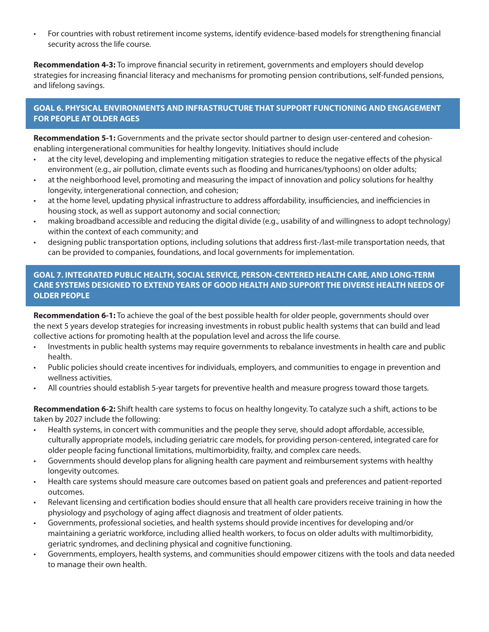• For countries with robust retirement income systems, identify evidence-based models for strengthening financial security across the life course.

**Recommendation 4-3:** To improve financial security in retirement, governments and employers should develop strategies for increasing financial literacy and mechanisms for promoting pension contributions, self-funded pensions, and lifelong savings.

## **GOAL 6. PHYSICAL ENVIRONMENTS AND INFRASTRUCTURE THAT SUPPORT FUNCTIONING AND ENGAGEMENT FOR PEOPLE AT OLDER AGES**

**Recommendation 5-1:** Governments and the private sector should partner to design user-centered and cohesionenabling intergenerational communities for healthy longevity. Initiatives should include

- at the city level, developing and implementing mitigation strategies to reduce the negative effects of the physical environment (e.g., air pollution, climate events such as flooding and hurricanes/typhoons) on older adults;
- at the neighborhood level, promoting and measuring the impact of innovation and policy solutions for healthy longevity, intergenerational connection, and cohesion;
- at the home level, updating physical infrastructure to address affordability, insufficiencies, and inefficiencies in housing stock, as well as support autonomy and social connection;
- making broadband accessible and reducing the digital divide (e.g., usability of and willingness to adopt technology) within the context of each community; and
- designing public transportation options, including solutions that address first-/last-mile transportation needs, that can be provided to companies, foundations, and local governments for implementation.

## **GOAL 7. INTEGRATED PUBLIC HEALTH, SOCIAL SERVICE, PERSON-CENTERED HEALTH CARE, AND LONG-TERM CARE SYSTEMS DESIGNED TO EXTEND YEARS OF GOOD HEALTH AND SUPPORT THE DIVERSE HEALTH NEEDS OF OLDER PEOPLE**

**Recommendation 6-1:** To achieve the goal of the best possible health for older people, governments should over the next 5 years develop strategies for increasing investments in robust public health systems that can build and lead collective actions for promoting health at the population level and across the life course.

- Investments in public health systems may require governments to rebalance investments in health care and public health.
- Public policies should create incentives for individuals, employers, and communities to engage in prevention and wellness activities.
- All countries should establish 5-year targets for preventive health and measure progress toward those targets.

**Recommendation 6-2:** Shift health care systems to focus on healthy longevity. To catalyze such a shift, actions to be taken by 2027 include the following:

- Health systems, in concert with communities and the people they serve, should adopt affordable, accessible, culturally appropriate models, including geriatric care models, for providing person-centered, integrated care for older people facing functional limitations, multimorbidity, frailty, and complex care needs.
- Governments should develop plans for aligning health care payment and reimbursement systems with healthy longevity outcomes.
- Health care systems should measure care outcomes based on patient goals and preferences and patient-reported outcomes.
- Relevant licensing and certification bodies should ensure that all health care providers receive training in how the physiology and psychology of aging affect diagnosis and treatment of older patients.
- Governments, professional societies, and health systems should provide incentives for developing and/or maintaining a geriatric workforce, including allied health workers, to focus on older adults with multimorbidity, geriatric syndromes, and declining physical and cognitive functioning.
- Governments, employers, health systems, and communities should empower citizens with the tools and data needed to manage their own health.